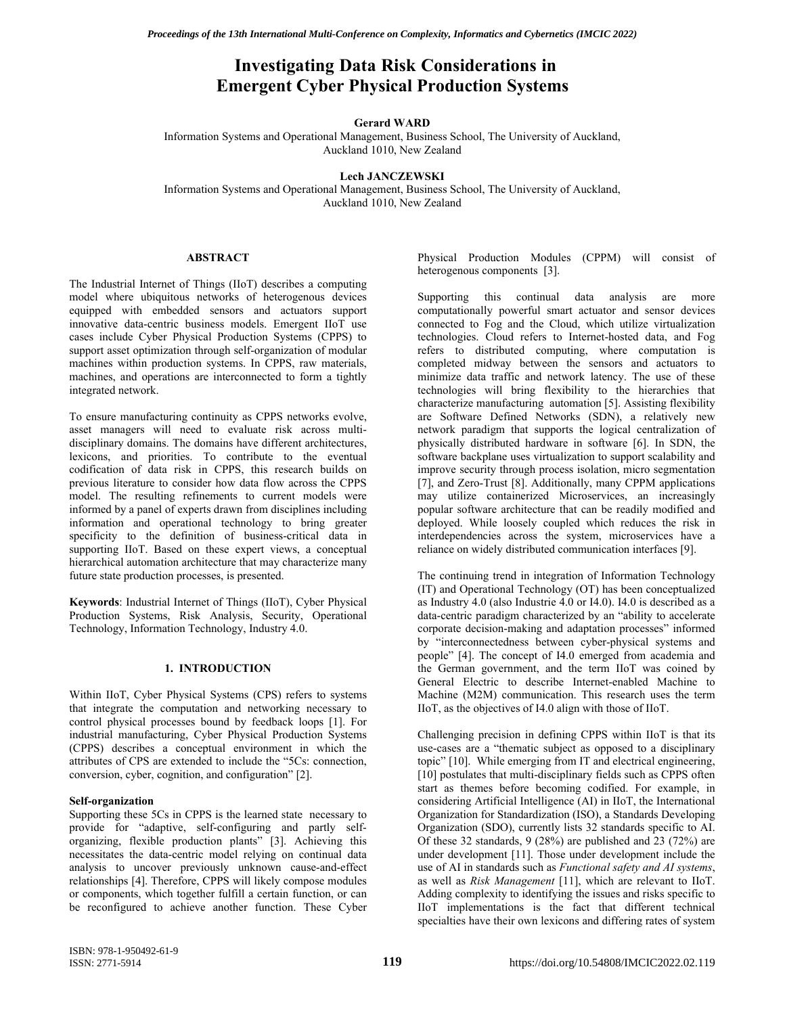# **Emergent Cyber Physical Production Systems Investigating Data Risk Considerations in**

### **Gerard WARD**

Information Systems and Operational Management, Business School, The University of Auckland, Auckland 1010, New Zealand

# **Lech JANCZEWSKI**

Information Systems and Operational Management, Business School, The University of Auckland, Auckland 1010, New Zealand

### **ABSTRACT**

The Industrial Internet of Things (IIoT) describes a computing model where ubiquitous networks of heterogenous devices equipped with embedded sensors and actuators support innovative data-centric business models. Emergent IIoT use cases include Cyber Physical Production Systems (CPPS) to support asset optimization through self-organization of modular machines within production systems. In CPPS, raw materials, machines, and operations are interconnected to form a tightly integrated network.

To ensure manufacturing continuity as CPPS networks evolve, asset managers will need to evaluate risk across multidisciplinary domains. The domains have different architectures, lexicons, and priorities. To contribute to the eventual codification of data risk in CPPS, this research builds on previous literature to consider how data flow across the CPPS model. The resulting refinements to current models were informed by a panel of experts drawn from disciplines including information and operational technology to bring greater specificity to the definition of business-critical data in supporting IIoT. Based on these expert views, a conceptual hierarchical automation architecture that may characterize many future state production processes, is presented.

**Keywords**: Industrial Internet of Things (IIoT), Cyber Physical Production Systems, Risk Analysis, Security, Operational Technology, Information Technology, Industry 4.0.

# **1. INTRODUCTION**

Within IIoT, Cyber Physical Systems (CPS) refers to systems that integrate the computation and networking necessary to control physical processes bound by feedback loops [1]. For industrial manufacturing, Cyber Physical Production Systems (CPPS) describes a conceptual environment in which the attributes of CPS are extended to include the "5Cs: connection, conversion, cyber, cognition, and configuration" [2].

#### **Self-organization**

Supporting these 5Cs in CPPS is the learned state necessary to provide for "adaptive, self-configuring and partly selforganizing, flexible production plants" [3]. Achieving this necessitates the data-centric model relying on continual data analysis to uncover previously unknown cause-and-effect relationships [4]. Therefore, CPPS will likely compose modules or components, which together fulfill a certain function, or can be reconfigured to achieve another function. These Cyber

Physical Production Modules (CPPM) will consist of heterogenous components [3].

Supporting this continual data analysis are more computationally powerful smart actuator and sensor devices connected to Fog and the Cloud, which utilize virtualization technologies. Cloud refers to Internet-hosted data, and Fog refers to distributed computing, where computation is completed midway between the sensors and actuators to minimize data traffic and network latency. The use of these technologies will bring flexibility to the hierarchies that characterize manufacturing automation [5]. Assisting flexibility are Software Defined Networks (SDN), a relatively new network paradigm that supports the logical centralization of physically distributed hardware in software [6]. In SDN, the software backplane uses virtualization to support scalability and improve security through process isolation, micro segmentation [7], and Zero-Trust [8]. Additionally, many CPPM applications may utilize containerized Microservices, an increasingly popular software architecture that can be readily modified and deployed. While loosely coupled which reduces the risk in interdependencies across the system, microservices have a reliance on widely distributed communication interfaces [9].

The continuing trend in integration of Information Technology (IT) and Operational Technology (OT) has been conceptualized as Industry 4.0 (also Industrie 4.0 or I4.0). I4.0 is described as a data-centric paradigm characterized by an "ability to accelerate corporate decision-making and adaptation processes" informed by "interconnectedness between cyber-physical systems and people" [4]. The concept of I4.0 emerged from academia and the German government, and the term IIoT was coined by General Electric to describe Internet-enabled Machine to Machine (M2M) communication. This research uses the term IIoT, as the objectives of I4.0 align with those of IIoT.

Challenging precision in defining CPPS within IIoT is that its use-cases are a "thematic subject as opposed to a disciplinary topic" [10]. While emerging from IT and electrical engineering, [10] postulates that multi-disciplinary fields such as CPPS often start as themes before becoming codified. For example, in considering Artificial Intelligence (AI) in IIoT, the International Organization for Standardization (ISO), a Standards Developing Organization (SDO), currently lists 32 standards specific to AI. Of these 32 standards, 9 (28%) are published and 23 (72%) are under development [11]. Those under development include the use of AI in standards such as *Functional safety and AI systems*, as well as *Risk Management* [11], which are relevant to IIoT. Adding complexity to identifying the issues and risks specific to IIoT implementations is the fact that different technical specialties have their own lexicons and differing rates of system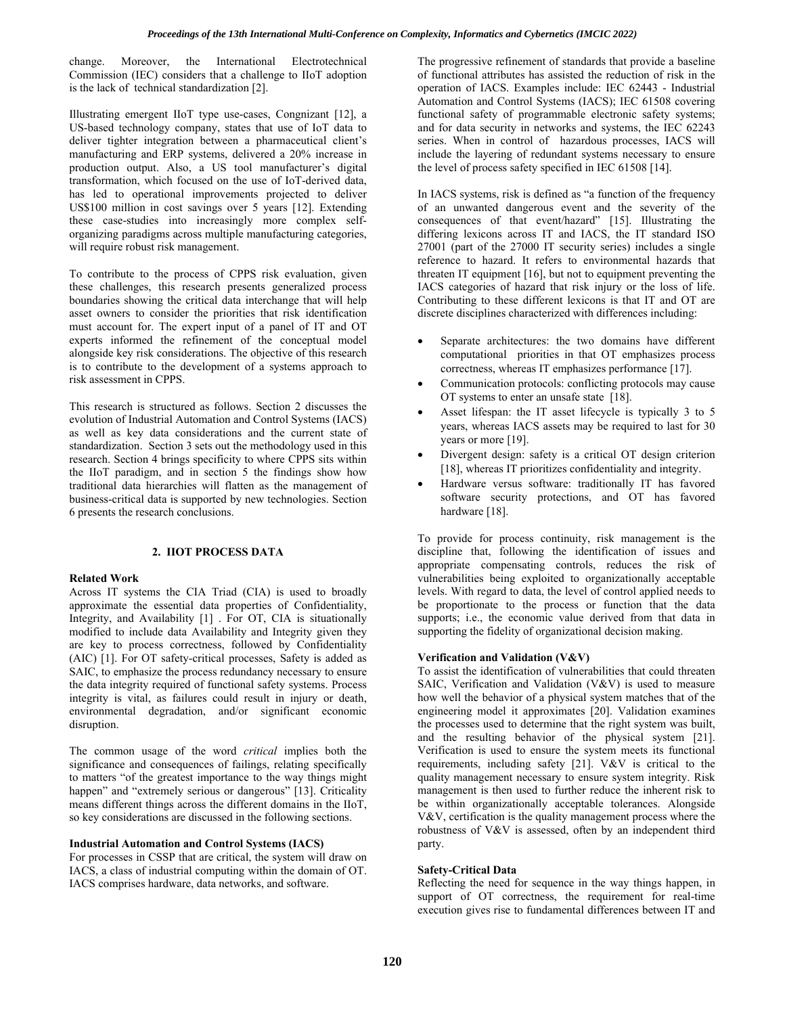change. Moreover, the International Electrotechnical Commission (IEC) considers that a challenge to IIoT adoption is the lack of technical standardization [2].

Illustrating emergent IIoT type use-cases, Congnizant [12], a US-based technology company, states that use of IoT data to deliver tighter integration between a pharmaceutical client's manufacturing and ERP systems, delivered a 20% increase in production output. Also, a US tool manufacturer's digital transformation, which focused on the use of IoT-derived data, has led to operational improvements projected to deliver US\$100 million in cost savings over 5 years [12]. Extending these case-studies into increasingly more complex selforganizing paradigms across multiple manufacturing categories, will require robust risk management.

To contribute to the process of CPPS risk evaluation, given these challenges, this research presents generalized process boundaries showing the critical data interchange that will help asset owners to consider the priorities that risk identification must account for. The expert input of a panel of IT and OT experts informed the refinement of the conceptual model alongside key risk considerations. The objective of this research is to contribute to the development of a systems approach to risk assessment in CPPS.

This research is structured as follows. Section 2 discusses the evolution of Industrial Automation and Control Systems (IACS) as well as key data considerations and the current state of standardization. Section 3 sets out the methodology used in this research. Section 4 brings specificity to where CPPS sits within the IIoT paradigm, and in section 5 the findings show how traditional data hierarchies will flatten as the management of business-critical data is supported by new technologies. Section 6 presents the research conclusions.

### **2. IIOT PROCESS DATA**

#### **Related Work**

Across IT systems the CIA Triad (CIA) is used to broadly approximate the essential data properties of Confidentiality, Integrity, and Availability [1] . For OT, CIA is situationally modified to include data Availability and Integrity given they are key to process correctness, followed by Confidentiality (AIC) [1]. For OT safety-critical processes, Safety is added as SAIC, to emphasize the process redundancy necessary to ensure the data integrity required of functional safety systems. Process integrity is vital, as failures could result in injury or death, environmental degradation, and/or significant economic disruption.

The common usage of the word *critical* implies both the significance and consequences of failings, relating specifically to matters "of the greatest importance to the way things might happen" and ["extremely](https://dictionary.cambridge.org/dictionary/english/extremely) [serious](https://dictionary.cambridge.org/dictionary/english/serious) or [dangerous"](https://dictionary.cambridge.org/dictionary/english/dangerous) [13]. Criticality means different things across the different domains in the IIoT, so key considerations are discussed in the following sections.

### **Industrial Automation and Control Systems (IACS)**

For processes in CSSP that are critical, the system will draw on IACS, a class of industrial computing within the domain of OT. IACS comprises hardware, data networks, and software.

The progressive refinement of standards that provide a baseline of functional attributes has assisted the reduction of risk in the operation of IACS. Examples include: IEC 62443 - Industrial Automation and Control Systems (IACS); IEC 61508 covering functional safety of programmable electronic safety systems; and for data security in networks and systems, the IEC 62243 series. When in control of hazardous processes, IACS will include the layering of redundant systems necessary to ensure the level of process safety specified in IEC 61508 [14].

In IACS systems, risk is defined as "a function of the frequency of an unwanted dangerous event and the severity of the consequences of that event/hazard" [15]. Illustrating the differing lexicons across IT and IACS, the IT standard ISO 27001 (part of the 27000 IT security series) includes a single reference to hazard. It refers to environmental hazards that threaten IT equipment [16], but not to equipment preventing the IACS categories of hazard that risk injury or the loss of life. Contributing to these different lexicons is that IT and OT are discrete disciplines characterized with differences including:

- Separate architectures: the two domains have different computational priorities in that OT emphasizes process correctness, whereas IT emphasizes performance [17].
- Communication protocols: conflicting protocols may cause OT systems to enter an unsafe state [18].
- Asset lifespan: the IT asset lifecycle is typically 3 to 5 years, whereas IACS assets may be required to last for 30 years or more [19].
- Divergent design: safety is a critical OT design criterion [18], whereas IT prioritizes confidentiality and integrity.
- Hardware versus software: traditionally IT has favored software security protections, and OT has favored hardware [18].

To provide for process continuity, risk management is the discipline that, following the identification of issues and appropriate compensating controls, reduces the risk of vulnerabilities being exploited to organizationally acceptable levels. With regard to data, the level of control applied needs to be proportionate to the process or function that the data supports; i.e., the economic value derived from that data in supporting the fidelity of organizational decision making.

# **Verification and Validation (V&V)**

To assist the identification of vulnerabilities that could threaten SAIC, Verification and Validation (V&V) is used to measure how well the behavior of a physical system matches that of the engineering model it approximates [20]. Validation examines the processes used to determine that the right system was built, and the resulting behavior of the physical system [21]. Verification is used to ensure the system meets its functional requirements, including safety [21]. V&V is critical to the quality management necessary to ensure system integrity. Risk management is then used to further reduce the inherent risk to be within organizationally acceptable tolerances. Alongside V&V, certification is the quality management process where the robustness of V&V is assessed, often by an independent third party.

### **Safety-Critical Data**

Reflecting the need for sequence in the way things happen, in support of OT correctness, the requirement for real-time execution gives rise to fundamental differences between IT and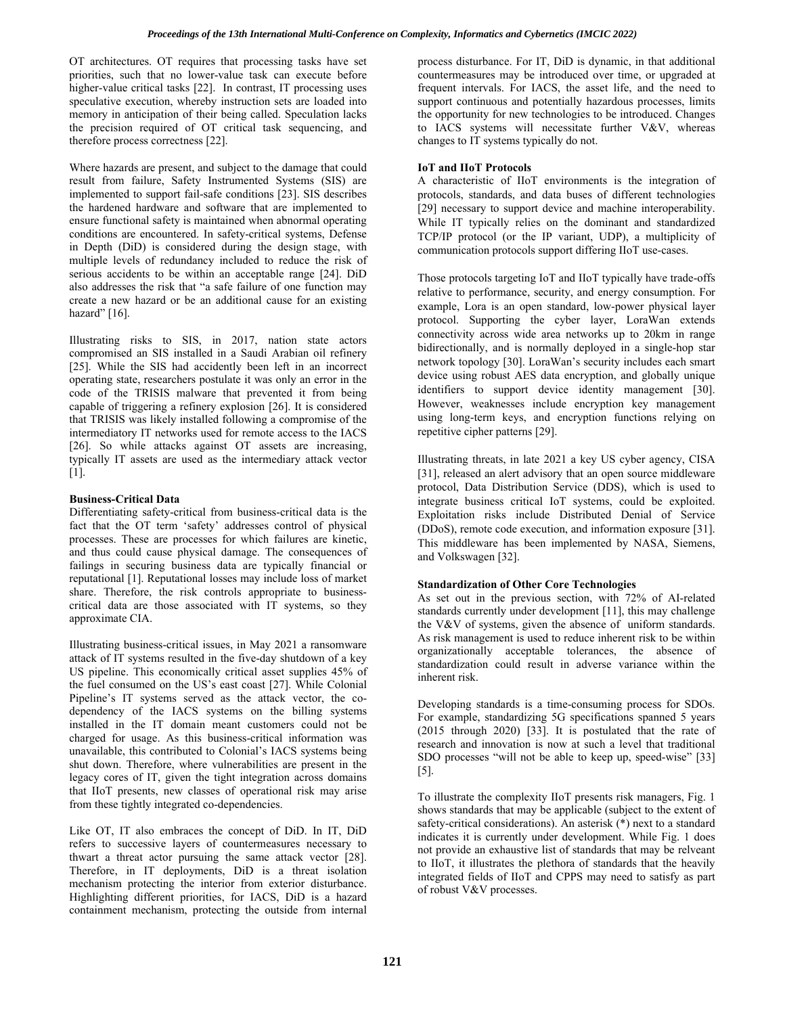OT architectures. OT requires that processing tasks have set priorities, such that no lower-value task can execute before higher-value critical tasks [22]. In contrast, IT processing uses speculative execution, whereby instruction sets are loaded into memory in anticipation of their being called. Speculation lacks the precision required of OT critical task sequencing, and therefore process correctness [22].

Where hazards are present, and subject to the damage that could result from failure, Safety Instrumented Systems (SIS) are implemented to support fail-safe conditions [23]. SIS describes the hardened hardware and software that are implemented to ensure functional safety is maintained when abnormal operating conditions are encountered. In safety-critical systems, Defense in Depth (DiD) is considered during the design stage, with multiple levels of redundancy included to reduce the risk of serious accidents to be within an acceptable range [24]. DiD also addresses the risk that "a safe failure of one function may create a new hazard or be an additional cause for an existing hazard" [16].

Illustrating risks to SIS, in 2017, nation state actors compromised an SIS installed in a Saudi Arabian oil refinery [25]. While the SIS had accidently been left in an incorrect operating state, researchers postulate it was only an error in the code of the TRISIS malware that prevented it from being capable of triggering a refinery explosion [26]. It is considered that TRISIS was likely installed following a compromise of the intermediatory IT networks used for remote access to the IACS [26]. So while attacks against OT assets are increasing, typically IT assets are used as the intermediary attack vector [1].

# **Business-Critical Data**

Differentiating safety-critical from business-critical data is the fact that the OT term 'safety' addresses control of physical processes. These are processes for which failures are kinetic, and thus could cause physical damage. The consequences of failings in securing business data are typically financial or reputational [1]. Reputational losses may include loss of market share. Therefore, the risk controls appropriate to businesscritical data are those associated with IT systems, so they approximate CIA.

Illustrating business-critical issues, in May 2021 a ransomware attack of IT systems resulted in the five-day shutdown of a key US pipeline. This economically critical asset supplies 45% of the fuel consumed on the US's east coast [27]. While Colonial Pipeline's IT systems served as the attack vector, the codependency of the IACS systems on the billing systems installed in the IT domain meant customers could not be charged for usage. As this business-critical information was unavailable, this contributed to Colonial's IACS systems being shut down. Therefore, where vulnerabilities are present in the legacy cores of IT, given the tight integration across domains that IIoT presents, new classes of operational risk may arise from these tightly integrated co-dependencies.

Like OT, IT also embraces the concept of DiD. In IT, DiD refers to successive layers of countermeasures necessary to thwart a threat actor pursuing the same attack vector [28]. Therefore, in IT deployments, DiD is a threat isolation mechanism protecting the interior from exterior disturbance. Highlighting different priorities, for IACS, DiD is a hazard containment mechanism, protecting the outside from internal

process disturbance. For IT, DiD is dynamic, in that additional countermeasures may be introduced over time, or upgraded at frequent intervals. For IACS, the asset life, and the need to support continuous and potentially hazardous processes, limits the opportunity for new technologies to be introduced. Changes to IACS systems will necessitate further V&V, whereas changes to IT systems typically do not.

# **IoT and IIoT Protocols**

A characteristic of IIoT environments is the integration of protocols, standards, and data buses of different technologies [29] necessary to support device and machine interoperability. While IT typically relies on the dominant and standardized TCP/IP protocol (or the IP variant, UDP), a multiplicity of communication protocols support differing IIoT use-cases.

Those protocols targeting IoT and IIoT typically have trade-offs relative to performance, security, and energy consumption. For example, Lora is an open standard, low-power physical layer protocol. Supporting the cyber layer, LoraWan extends connectivity across wide area networks up to 20km in range bidirectionally, and is normally deployed in a single-hop star network topology [30]. LoraWan's security includes each smart device using robust AES data encryption, and globally unique identifiers to support device identity management [30]. However, weaknesses include encryption key management using long-term keys, and encryption functions relying on repetitive cipher patterns [29].

Illustrating threats, in late 2021 a key US cyber agency, CISA [31], released an alert advisory that an open source middleware protocol, Data Distribution Service (DDS), which is used to integrate business critical IoT systems, could be exploited. Exploitation risks include Distributed Denial of Service (DDoS), remote code execution, and information exposure [31]. This middleware has been implemented by NASA, Siemens, and Volkswagen [32].

# **Standardization of Other Core Technologies**

As set out in the previous section, with 72% of AI-related standards currently under development [11], this may challenge the V&V of systems, given the absence of uniform standards. As risk management is used to reduce inherent risk to be within organizationally acceptable tolerances, the absence of standardization could result in adverse variance within the inherent risk.

Developing standards is a time-consuming process for SDOs. For example, standardizing 5G specifications spanned 5 years (2015 through 2020) [33]. It is postulated that the rate of research and innovation is now at such a level that traditional SDO processes "will not be able to keep up, speed-wise" [33] [5].

To illustrate the complexity IIoT presents risk managers, Fig. 1 shows standards that may be applicable (subject to the extent of safety-critical considerations). An asterisk (\*) next to a standard indicates it is currently under development. While Fig. 1 does not provide an exhaustive list of standards that may be relveant to IIoT, it illustrates the plethora of standards that the heavily integrated fields of IIoT and CPPS may need to satisfy as part of robust V&V processes.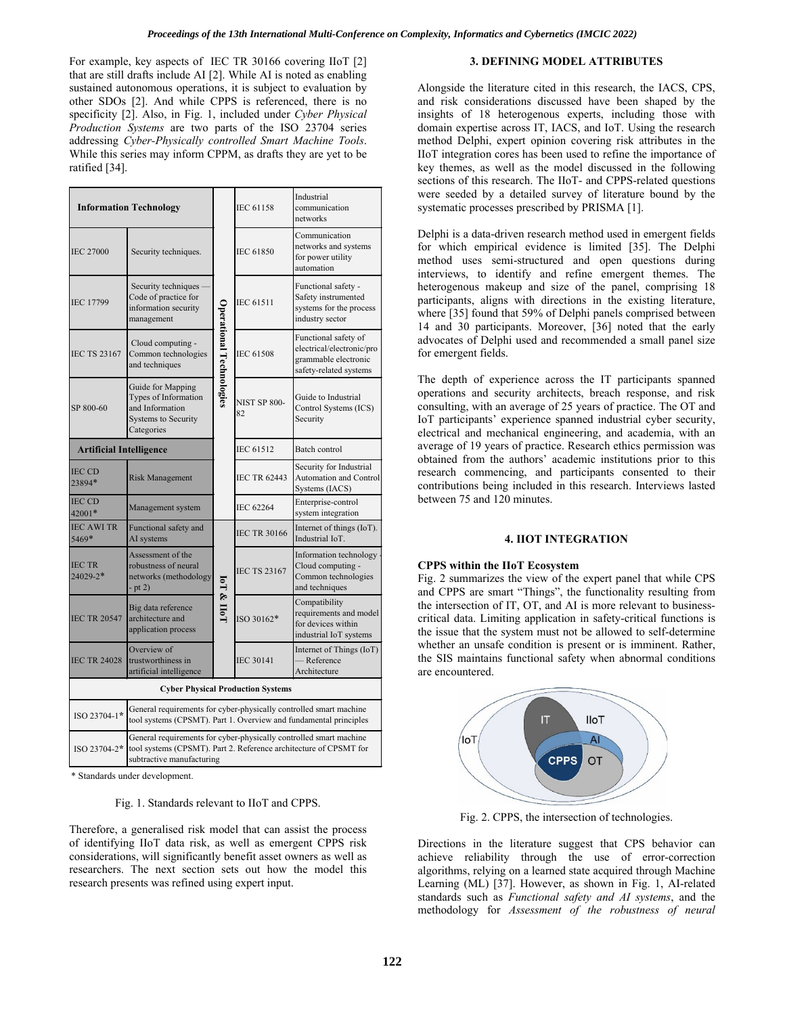For example, key aspects of IEC TR 30166 covering IIoT [2] that are still drafts include AI [2]. While AI is noted as enabling sustained autonomous operations, it is subject to evaluation by other SDOs [2]. And while CPPS is referenced, there is no specificity [2]. Also, in Fig. 1, included under *Cyber Physical Production Systems* are two parts of the ISO 23704 series addressing *Cyber-Physically controlled Smart Machine Tools*. While this series may inform CPPM, as drafts they are yet to be ratified [34].

| <b>Information Technology</b>            |                                                                                                                                                                      |                          | IEC 61158                 | Industrial<br>communication<br>networks                                                             |  |  |
|------------------------------------------|----------------------------------------------------------------------------------------------------------------------------------------------------------------------|--------------------------|---------------------------|-----------------------------------------------------------------------------------------------------|--|--|
| <b>IEC 27000</b>                         | Security techniques.                                                                                                                                                 | Operational Technologies | <b>IEC 61850</b>          | Communication<br>networks and systems<br>for power utility<br>automation                            |  |  |
| <b>IEC 17799</b>                         | Security techniques<br>Code of practice for<br>information security<br>management                                                                                    |                          | <b>IEC 61511</b>          | Functional safety -<br>Safety instrumented<br>systems for the process<br>industry sector            |  |  |
| <b>IEC TS 23167</b>                      | Cloud computing -<br>Common technologies<br>and techniques                                                                                                           |                          | <b>IEC 61508</b>          | Functional safety of<br>electrical/electronic/pro<br>grammable electronic<br>safety-related systems |  |  |
| SP 800-60                                | Guide for Mapping<br>Types of Information<br>and Information<br><b>Systems to Security</b><br>Categories                                                             |                          | <b>NIST SP 800-</b><br>82 | Guide to Industrial<br>Control Systems (ICS)<br>Security                                            |  |  |
| <b>Artificial Intelligence</b>           |                                                                                                                                                                      |                          | <b>IEC 61512</b>          | Batch control                                                                                       |  |  |
| <b>IEC CD</b><br>23894*                  | <b>Risk Management</b>                                                                                                                                               |                          | <b>IEC TR 62443</b>       | Security for Industrial<br><b>Automation and Control</b><br>Systems (IACS)                          |  |  |
| IEC CD<br>$42001*$                       | Management system                                                                                                                                                    |                          | IEC 62264                 | Enterprise-control<br>system integration                                                            |  |  |
| <b>IEC AWI TR</b><br>5469*               | Functional safety and<br>AI systems                                                                                                                                  | <b>IoT &amp; Hol</b>     | <b>IEC TR 30166</b>       | Internet of things (IoT).<br>Industrial IoT.                                                        |  |  |
| <b>IECTR</b><br>24029-2*                 | Assessment of the<br>robustness of neural<br>networks (methodology<br>- pt 2)                                                                                        |                          | <b>IEC TS 23167</b>       | Information technology<br>Cloud computing -<br>Common technologies<br>and techniques                |  |  |
| <b>IEC TR 20547</b>                      | Big data reference<br>architecture and<br>application process                                                                                                        |                          | ISO 30162*                | Compatibility<br>requirements and model<br>for devices within<br>industrial IoT systems             |  |  |
| <b>IEC TR 24028</b>                      | Overview of<br>trustworthiness in<br>artificial intelligence                                                                                                         |                          | <b>IEC 30141</b>          | Internet of Things (IoT)<br>- Reference<br>Architecture                                             |  |  |
| <b>Cyber Physical Production Systems</b> |                                                                                                                                                                      |                          |                           |                                                                                                     |  |  |
| ISO 23704-1*                             | General requirements for cyber-physically controlled smart machine<br>tool systems (CPSMT). Part 1. Overview and fundamental principles                              |                          |                           |                                                                                                     |  |  |
| ISO 23704-2*                             | General requirements for cyber-physically controlled smart machine<br>tool systems (CPSMT). Part 2. Reference architecture of CPSMT for<br>subtractive manufacturing |                          |                           |                                                                                                     |  |  |

\* Standards under development.

Fig. 1. Standards relevant to IIoT and CPPS.

Therefore, a generalised risk model that can assist the process of identifying IIoT data risk, as well as emergent CPPS risk considerations, will significantly benefit asset owners as well as researchers. The next section sets out how the model this research presents was refined using expert input.

### **3. DEFINING MODEL ATTRIBUTES**

Alongside the literature cited in this research, the IACS, CPS, and risk considerations discussed have been shaped by the insights of 18 heterogenous experts, including those with domain expertise across IT, IACS, and IoT. Using the research method Delphi, expert opinion covering risk attributes in the IIoT integration cores has been used to refine the importance of key themes, as well as the model discussed in the following sections of this research. The IIoT- and CPPS-related questions were seeded by a detailed survey of literature bound by the systematic processes prescribed by PRISMA [1].

Delphi is a data-driven research method used in emergent fields for which empirical evidence is limited [35]. The Delphi method uses semi-structured and open questions during interviews, to identify and refine emergent themes. The heterogenous makeup and size of the panel, comprising 18 participants, aligns with directions in the existing literature, where [35] found that 59% of Delphi panels comprised between 14 and 30 participants. Moreover, [36] noted that the early advocates of Delphi used and recommended a small panel size for emergent fields.

The depth of experience across the IT participants spanned operations and security architects, breach response, and risk consulting, with an average of 25 years of practice. The OT and IoT participants' experience spanned industrial cyber security, electrical and mechanical engineering, and academia, with an average of 19 years of practice. Research ethics permission was obtained from the authors' academic institutions prior to this research commencing, and participants consented to their contributions being included in this research. Interviews lasted between 75 and 120 minutes.

#### **4. IIOT INTEGRATION**

#### **CPPS within the IIoT Ecosystem**

Fig. 2 summarizes the view of the expert panel that while CPS and CPPS are smart "Things", the functionality resulting from the intersection of IT, OT, and AI is more relevant to businesscritical data. Limiting application in safety-critical functions is the issue that the system must not be allowed to self-determine whether an unsafe condition is present or is imminent. Rather, the SIS maintains functional safety when abnormal conditions are encountered.



Fig. 2. CPPS, the intersection of technologies.

Directions in the literature suggest that CPS behavior can achieve reliability through the use of error-correction algorithms, relying on a learned state acquired through Machine Learning (ML) [37]. However, as shown in Fig. 1, AI-related standards such as *Functional safety and AI systems*, and the methodology for *Assessment of the robustness of neural*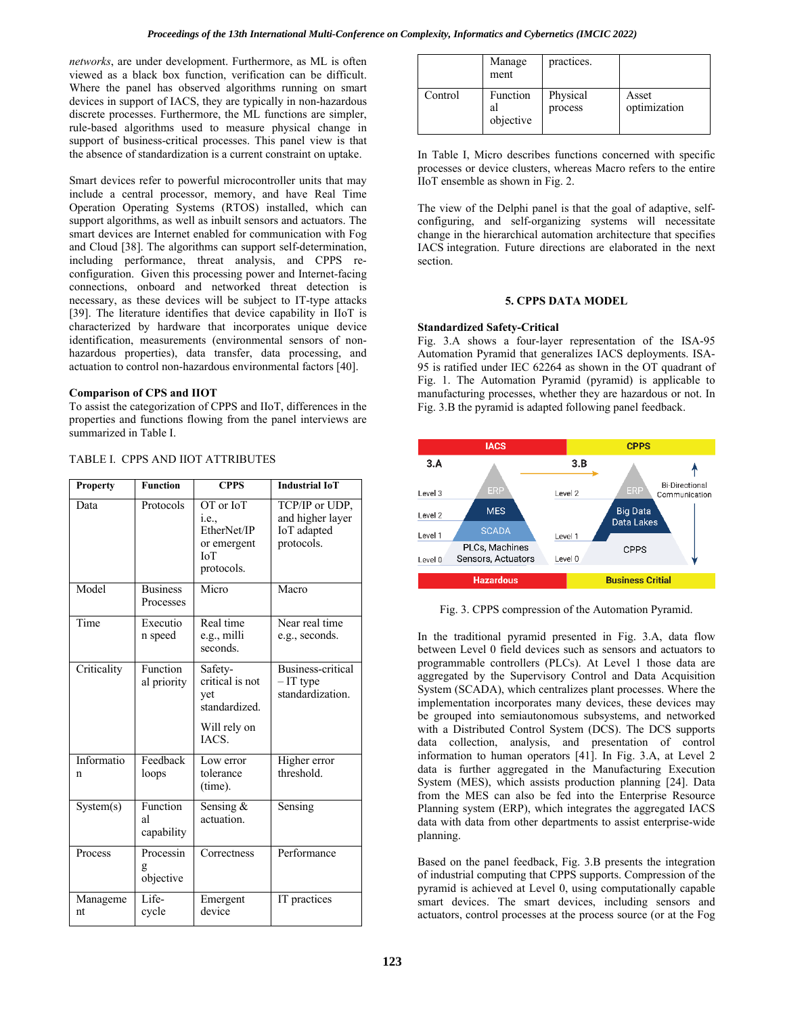*networks*, are under development. Furthermore, as ML is often viewed as a black box function, verification can be difficult. Where the panel has observed algorithms running on smart devices in support of IACS, they are typically in non-hazardous discrete processes. Furthermore, the ML functions are simpler, rule-based algorithms used to measure physical change in support of business-critical processes. This panel view is that the absence of standardization is a current constraint on uptake.

Smart devices refer to powerful microcontroller units that may include a central processor, memory, and have Real Time Operation Operating Systems (RTOS) installed, which can support algorithms, as well as inbuilt sensors and actuators. The smart devices are Internet enabled for communication with Fog and Cloud [38]. The algorithms can support self-determination, including performance, threat analysis, and CPPS reconfiguration. Given this processing power and Internet-facing connections, onboard and networked threat detection is necessary, as these devices will be subject to IT-type attacks [39]. The literature identifies that device capability in IIoT is characterized by hardware that incorporates unique device identification, measurements (environmental sensors of nonhazardous properties), data transfer, data processing, and actuation to control non-hazardous environmental factors [40].

### **Comparison of CPS and IIOT**

To assist the categorization of CPPS and IIoT, differences in the properties and functions flowing from the panel interviews are summarized in Table I.

| <b>Property</b> | <b>Function</b>              | <b>CPPS</b>                                                                  | <b>Industrial IoT</b>                                           |
|-----------------|------------------------------|------------------------------------------------------------------------------|-----------------------------------------------------------------|
| Data            | Protocols                    | OT or IoT<br>i.e.,<br>EtherNet/IP<br>or emergent<br><b>IoT</b><br>protocols. | TCP/IP or UDP,<br>and higher layer<br>IoT adapted<br>protocols. |
| Model           | <b>Business</b><br>Processes | Micro                                                                        | Macro                                                           |
| Time            | Executio<br>n speed          | Real time<br>e.g., milli<br>seconds.                                         | Near real time<br>e.g., seconds.                                |
| Criticality     | Function<br>al priority      | Safety-<br>critical is not<br>yet<br>standardized.<br>Will rely on<br>IACS.  | <b>Business-critical</b><br>$-IT$ type<br>standardization.      |
| Informatio<br>n | Feedback<br>loops            | Low error<br>tolerance<br>(time).                                            | Higher error<br>threshold.                                      |
| System(s)       | Function<br>al<br>capability | Sensing $&$<br>actuation.                                                    | Sensing                                                         |
| Process         | Processin<br>objective       | Correctness                                                                  | Performance                                                     |
| Manageme<br>nt  | Life-<br>cycle               | Emergent<br>device                                                           | IT practices                                                    |

# TABLE I. CPPS AND IIOT ATTRIBUTES

|         | Manage<br>ment              | practices.          |                       |
|---------|-----------------------------|---------------------|-----------------------|
| Control | Function<br>al<br>objective | Physical<br>process | Asset<br>optimization |

In Table I, Micro describes functions concerned with specific processes or device clusters, whereas Macro refers to the entire IIoT ensemble as shown in Fig. 2.

The view of the Delphi panel is that the goal of adaptive, selfconfiguring, and self-organizing systems will necessitate change in the hierarchical automation architecture that specifies IACS integration. Future directions are elaborated in the next section.

#### **5. CPPS DATA MODEL**

### **Standardized Safety-Critical**

Fig. 3.A shows a four-layer representation of the ISA-95 Automation Pyramid that generalizes IACS deployments. ISA-95 is ratified under IEC 62264 as shown in the OT quadrant of Fig. 1. The Automation Pyramid (pyramid) is applicable to manufacturing processes, whether they are hazardous or not. In Fig. 3.B the pyramid is adapted following panel feedback.



Fig. 3. CPPS compression of the Automation Pyramid.

In the traditional pyramid presented in Fig. 3.A, data flow between Level 0 field devices such as sensors and actuators to programmable controllers (PLCs). At Level 1 those data are aggregated by the Supervisory Control and Data Acquisition System (SCADA), which centralizes plant processes. Where the implementation incorporates many devices, these devices may be grouped into semiautonomous subsystems, and networked with a Distributed Control System (DCS). The DCS supports data collection, analysis, and presentation of control information to human operators [41]. In Fig. 3.A, at Level 2 data is further aggregated in the Manufacturing Execution System (MES), which assists production planning [24]. Data from the MES can also be fed into the Enterprise Resource Planning system (ERP), which integrates the aggregated IACS data with data from other departments to assist enterprise-wide planning.

Based on the panel feedback, Fig. 3.B presents the integration of industrial computing that CPPS supports. Compression of the pyramid is achieved at Level 0, using computationally capable smart devices. The smart devices, including sensors and actuators, control processes at the process source (or at the Fog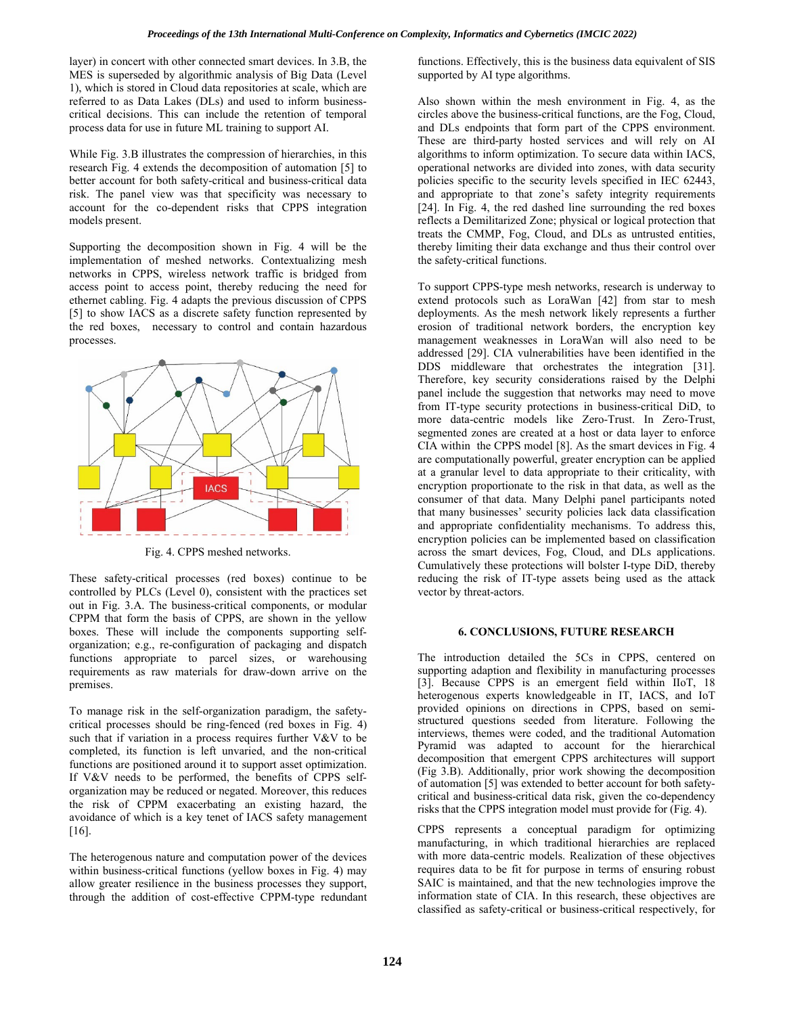layer) in concert with other connected smart devices. In 3.B, the MES is superseded by algorithmic analysis of Big Data (Level 1), which is stored in Cloud data repositories at scale, which are referred to as Data Lakes (DLs) and used to inform businesscritical decisions. This can include the retention of temporal process data for use in future ML training to support AI.

While Fig. 3.B illustrates the compression of hierarchies, in this research Fig. 4 extends the decomposition of automation [5] to better account for both safety-critical and business-critical data risk. The panel view was that specificity was necessary to account for the co-dependent risks that CPPS integration models present.

Supporting the decomposition shown in Fig. 4 will be the implementation of meshed networks. Contextualizing mesh networks in CPPS, wireless network traffic is bridged from access point to access point, thereby reducing the need for ethernet cabling. Fig. 4 adapts the previous discussion of CPPS [5] to show IACS as a discrete safety function represented by the red boxes, necessary to control and contain hazardous processes.



Fig. 4. CPPS meshed networks.

These safety-critical processes (red boxes) continue to be controlled by PLCs (Level 0), consistent with the practices set out in Fig. 3.A. The business-critical components, or modular CPPM that form the basis of CPPS, are shown in the yellow boxes. These will include the components supporting selforganization; e.g., re-configuration of packaging and dispatch functions appropriate to parcel sizes, or warehousing requirements as raw materials for draw-down arrive on the premises.

To manage risk in the self-organization paradigm, the safetycritical processes should be ring-fenced (red boxes in Fig. 4) such that if variation in a process requires further V&V to be completed, its function is left unvaried, and the non-critical functions are positioned around it to support asset optimization. If V&V needs to be performed, the benefits of CPPS selforganization may be reduced or negated. Moreover, this reduces the risk of CPPM exacerbating an existing hazard, the avoidance of which is a key tenet of IACS safety management [16].

The heterogenous nature and computation power of the devices within business-critical functions (yellow boxes in Fig. 4) may allow greater resilience in the business processes they support, through the addition of cost-effective CPPM-type redundant functions. Effectively, this is the business data equivalent of SIS supported by AI type algorithms.

Also shown within the mesh environment in Fig. 4, as the circles above the business-critical functions, are the Fog, Cloud, and DLs endpoints that form part of the CPPS environment. These are third-party hosted services and will rely on AI algorithms to inform optimization. To secure data within IACS, operational networks are divided into zones, with data security policies specific to the security levels specified in IEC 62443, and appropriate to that zone's safety integrity requirements [24]. In Fig. 4, the red dashed line surrounding the red boxes reflects a Demilitarized Zone; physical or logical protection that treats the CMMP, Fog, Cloud, and DLs as untrusted entities, thereby limiting their data exchange and thus their control over the safety-critical functions.

To support CPPS-type mesh networks, research is underway to extend protocols such as LoraWan [42] from star to mesh deployments. As the mesh network likely represents a further erosion of traditional network borders, the encryption key management weaknesses in LoraWan will also need to be addressed [29]. CIA vulnerabilities have been identified in the DDS middleware that orchestrates the integration [31]. Therefore, key security considerations raised by the Delphi panel include the suggestion that networks may need to move from IT-type security protections in business-critical DiD, to more data-centric models like Zero-Trust. In Zero-Trust, segmented zones are created at a host or data layer to enforce CIA within the CPPS model [8]. As the smart devices in Fig. 4 are computationally powerful, greater encryption can be applied at a granular level to data appropriate to their criticality, with encryption proportionate to the risk in that data, as well as the consumer of that data. Many Delphi panel participants noted that many businesses' security policies lack data classification and appropriate confidentiality mechanisms. To address this, encryption policies can be implemented based on classification across the smart devices, Fog, Cloud, and DLs applications. Cumulatively these protections will bolster I-type DiD, thereby reducing the risk of IT-type assets being used as the attack vector by threat-actors.

# **6. CONCLUSIONS, FUTURE RESEARCH**

The introduction detailed the 5Cs in CPPS, centered on supporting adaption and flexibility in manufacturing processes [3]. Because CPPS is an emergent field within IIoT, 18 heterogenous experts knowledgeable in IT, IACS, and IoT provided opinions on directions in CPPS, based on semistructured questions seeded from literature. Following the interviews, themes were coded, and the traditional Automation Pyramid was adapted to account for the hierarchical decomposition that emergent CPPS architectures will support (Fig 3.B). Additionally, prior work showing the decomposition of automation [5] was extended to better account for both safetycritical and business-critical data risk, given the co-dependency risks that the CPPS integration model must provide for (Fig. 4).

CPPS represents a conceptual paradigm for optimizing manufacturing, in which traditional hierarchies are replaced with more data-centric models. Realization of these objectives requires data to be fit for purpose in terms of ensuring robust SAIC is maintained, and that the new technologies improve the information state of CIA. In this research, these objectives are classified as safety-critical or business-critical respectively, for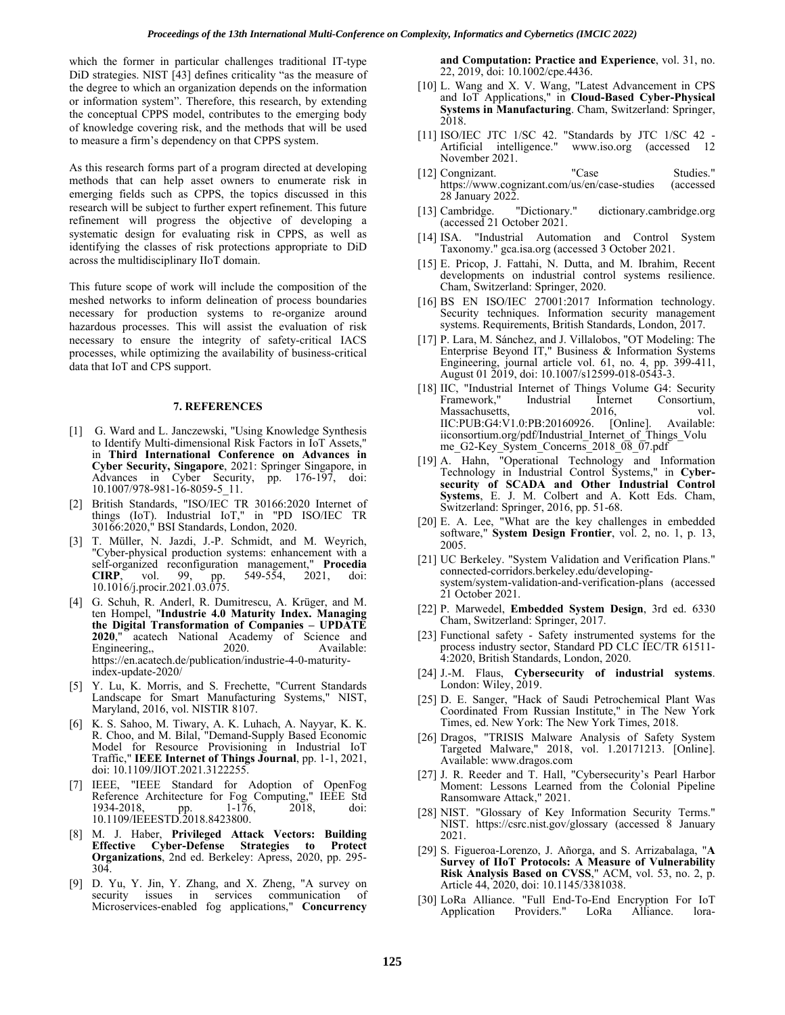which the former in particular challenges traditional IT-type DiD strategies. NIST [43] defines criticality "as the measure of the degree to which an organization depends on the information or information system". Therefore, this research, by extending the conceptual CPPS model, contributes to the emerging body of knowledge covering risk, and the methods that will be used to measure a firm's dependency on that CPPS system.

As this research forms part of a program directed at developing methods that can help asset owners to enumerate risk in emerging fields such as CPPS, the topics discussed in this research will be subject to further expert refinement. This future refinement will progress the objective of developing a systematic design for evaluating risk in CPPS, as well as identifying the classes of risk protections appropriate to DiD across the multidisciplinary IIoT domain.

This future scope of work will include the composition of the meshed networks to inform delineation of process boundaries necessary for production systems to re-organize around hazardous processes. This will assist the evaluation of risk necessary to ensure the integrity of safety-critical IACS processes, while optimizing the availability of business-critical data that IoT and CPS support.

#### **7. REFERENCES**

- [1] G. Ward and L. Janczewski, "Using Knowledge Synthesis to Identify Multi-dimensional Risk Factors in IoT Assets," in **Third International Conference on Advances in Cyber Security, Singapore**, 2021: Springer Singapore, in Advances in Cyber Security, pp. 176-197, doi: 10.1007/978-981-16-8059-5\_11.
- [2] British Standards, "ISO/IEC TR 30166:2020 Internet of things (IoT). Industrial IoT," in "PD ISO/IEC TR 30166:2020," BSI Standards, London, 2020.
- [3] T. Müller, N. Jazdi, J.-P. Schmidt, and M. Weyrich, "Cyber-physical production systems: enhancement with a self-organized reconfiguration management," **Procedia CIRP**, vol. 99, pp. 549-554, 2021, doi: 10.1016/j.procir.2021.03.075.
- [4] G. Schuh, R. Anderl, R. Dumitrescu, A. Krüger, and M. ten Hompel, "**Industrie 4.0 Maturity Index. Managing the Digital Transformation of Companies – UPDATE 2020**," acatech National Academy of Science and Engineering,, 2020. Available: Engineering,, [https://en.acatech.de/publication/industrie-4-0-maturity-](https://en.acatech.de/publication/industrie-4-0-maturity-index-update-2020/) [index-update-2020/](https://en.acatech.de/publication/industrie-4-0-maturity-index-update-2020/)
- [5] Y. Lu, K. Morris, and S. Frechette, "Current Standards Landscape for Smart Manufacturing Systems," NIST, Maryland, 2016, vol. NISTIR 8107.
- [6] K. S. Sahoo, M. Tiwary, A. K. Luhach, A. Nayyar, K. K. R. Choo, and M. Bilal, "Demand-Supply Based Economic Model for Resource Provisioning in Industrial IoT Traffic," **IEEE Internet of Things Journal**, pp. 1-1, 2021, doi: 10.1109/JIOT.2021.3122255.
- [7] IEEE, "IEEE Standard for Adoption of OpenFog Reference Architecture for Fog Computing," IEEE Std<br>1934-2018, pp. 1-176, 2018, doi: 1934-2018, pp. 1-176, 2018, doi: 10.1109/IEEESTD.2018.8423800.
- [8] M. J. Haber, **Privileged Attack Vectors: Building Explor-Defense Strategies to Organizations**, 2nd ed. Berkeley: Apress, 2020, pp. 295- 304.
- [9] D. Yu, Y. Jin, Y. Zhang, and X. Zheng, "A survey on communication of Microservices-enabled fog applications," **Concurrency**

**and Computation: Practice and Experience**, vol. 31, no. 22, 2019, doi: 10.1002/cpe.4436.

- [10] L. Wang and X. V. Wang, "Latest Advancement in CPS and IoT Applications," in **Cloud-Based Cyber-Physical Systems in Manufacturing**. Cham, Switzerland: Springer, 2018.
- [11] ISO/IEC JTC 1/SC 42. "Standards by JTC 1/SC 42 Artificial intelligence." www.iso.org (accessed 12 November 2021.
- [12] Congnizant. "Case Studies." <https://www.cognizant.com/us/en/case-studies> (accessed 28 January 2022.
- [13] Cambridge. "Dictionary." dictionary.cambridge.org (accessed 21 October 2021.
- [14] ISA. "Industrial Automation and Control System Taxonomy." gca.isa.org (accessed 3 October 2021.
- [15] E. Pricop, J. Fattahi, N. Dutta, and M. Ibrahim, Recent developments on industrial control systems resilience. Cham, Switzerland: Springer, 2020.
- [16] BS EN ISO/IEC 27001:2017 Information technology. Security techniques. Information security management systems. Requirements, British Standards, London, 2017.
- [17] P. Lara, M. Sánchez, and J. Villalobos, "OT Modeling: The Enterprise Beyond IT," Business & Information Systems Engineering, journal article vol. 61, no. 4, pp. 399-411, August 01 2019, doi: 10.1007/s12599-018-0543-3.
- [18] IIC, "Industrial Internet of Things Volume G4: Security Consortium, Massachusetts, 2016, vol.<br>IIC:PUB:G4:V1.0:PB:20160926. [Online]. Available:  $\text{IIC:PUB:G4:V1.0:PB:20160926.}$  [Online]. iiconsortium.org/pdf/Industrial Internet of Things Volu me\_G2-Key\_System\_Concerns\_2018\_08\_07.pdf
- [19] A. Hahn, "Operational Technology and Information Technology in Industrial Control Systems," in **Cybersecurity of SCADA and Other Industrial Control Systems**, E. J. M. Colbert and A. Kott Eds. Cham, Switzerland: Springer, 2016, pp. 51-68.
- [20] E. A. Lee, "What are the key challenges in embedded software," **System Design Frontier**, vol. 2, no. 1, p. 13, 2005.
- [21] UC Berkeley. "System Validation and Verification Plans." connected-corridors.berkeley.edu/developingsystem/system-validation-and-verification-plans (accessed 21 October 2021.
- [22] P. Marwedel, **Embedded System Design**, 3rd ed. 6330 Cham, Switzerland: Springer, 2017.
- [23] Functional safety Safety instrumented systems for the process industry sector, Standard PD CLC IEC/TR 61511- 4:2020, British Standards, London, 2020.
- [24] J.-M. Flaus, **Cybersecurity of industrial systems**. London: Wiley, 2019.
- [25] D. E. Sanger, "Hack of Saudi Petrochemical Plant Was Coordinated From Russian Institute," in The New York Times, ed. New York: The New York Times, 2018.
- [26] Dragos, "TRISIS Malware Analysis of Safety System Targeted Malware," 2018, vol. 1.20171213. [Online]. Available: www.dragos.com
- [27] J. R. Reeder and T. Hall, "Cybersecurity's Pearl Harbor Moment: Lessons Learned from the Colonial Pipeline Ransomware Attack," 2021.
- [28] NIST. "Glossary of Key Information Security Terms." NIST. <https://csrc.nist.gov/glossary> (accessed 8 January 2021.
- [29] S. Figueroa-Lorenzo, J. Añorga, and S. Arrizabalaga, "**A Survey of IIoT Protocols: A Measure of Vulnerability Risk Analysis Based on CVSS**," ACM, vol. 53, no. 2, p. Article 44, 2020, doi: 10.1145/3381038.
- [30] LoRa Alliance. "Full End-To-End Encryption For IoT Application Providers." LoRa Alliance. lora-